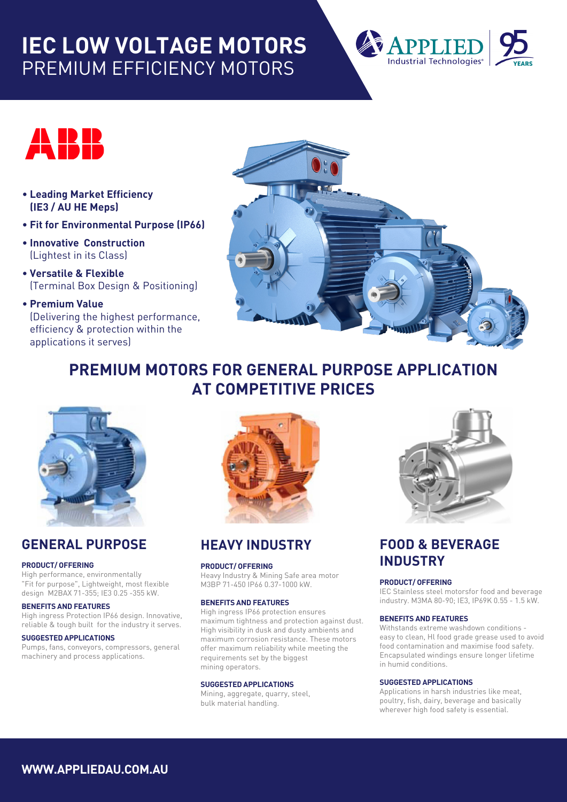# **IEC LOW VOLTAGE MOTORS** PREMIUM EFFICIENCY MOTORS





- **Leading Market Efficiency (IE3 / AU HE Meps)**
- **Fit for Environmental Purpose (IP66)**
- **Innovative Construction** (Lightest in its Class)
- **Versatile & Flexible** (Terminal Box Design & Positioning)
- **Premium Value** (Delivering the highest performance, efficiency & protection within the applications it serves)



# **PREMIUM MOTORS FOR GENERAL PURPOSE APPLICATION AT COMPETITIVE PRICES**



# **GENERAL PURPOSE**

#### **PRODUCT/ OFFERING**

High performance, environmentally "Fit for purpose", Lightweight, most flexible design M2BAX 71-355; IE3 0.25 -355 kW.

#### **BENEFITS AND FEATURES**

High ingress Protection IP66 design. Innovative, reliable & tough built for the industry it serves.

#### **SUGGESTED APPLICATIONS**

Pumps, fans, conveyors, compressors, general machinery and process applications.



## **HEAVY INDUSTRY**

#### **PRODUCT/ OFFERING**

Heavy Industry & Mining Safe area motor M3BP 71-450 IP66 0.37-1000 kW.

#### **BENEFITS AND FEATURES**

High ingress IP66 protection ensures maximum tightness and protection against dust. High visibility in dusk and dusty ambients and maximum corrosion resistance. These motors offer maximum reliability while meeting the requirements set by the biggest mining operators.

#### **SUGGESTED APPLICATIONS**

Mining, aggregate, quarry, steel, bulk material handling.



## **FOOD & BEVERAGE INDUSTRY**

#### **PRODUCT/ OFFERING**

IEC Stainless steel motorsfor food and beverage industry. M3MA 80-90; IE3, IP69K 0.55 - 1.5 kW.

#### **BENEFITS AND FEATURES**

Withstands extreme washdown conditions easy to clean, Hl food grade grease used to avoid food contamination and maximise food safety. Encapsulated windings ensure longer lifetime in humid conditions.

#### **SUGGESTED APPLICATIONS**

Applications in harsh industries like meat, poultry, fish, dairy, beverage and basically wherever high food safety is essential.